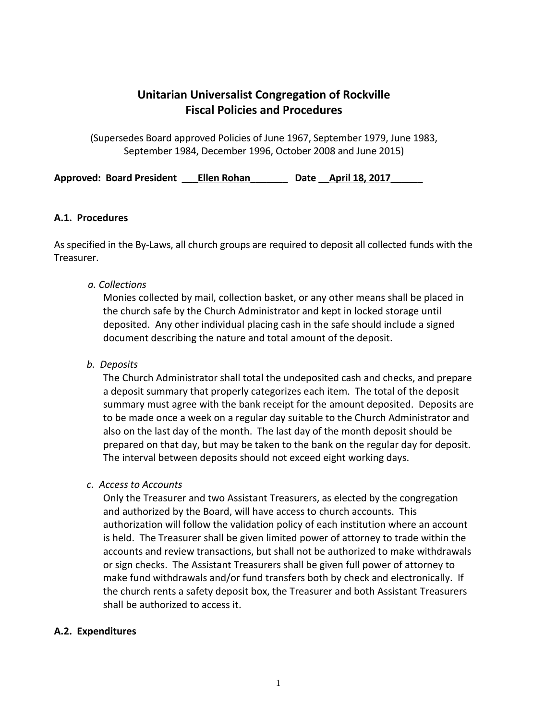# **Unitarian Universalist Congregation of Rockville Fiscal Policies and Procedures**

(Supersedes Board approved Policies of June 1967, September 1979, June 1983, September 1984, December 1996, October 2008 and June 2015)

Approved: Board President **Ellen Rohan** Date April 18, 2017

### **A.1. Procedures**

As specified in the By-Laws, all church groups are required to deposit all collected funds with the Treasurer.

### *a. Collections*

Monies collected by mail, collection basket, or any other means shall be placed in the church safe by the Church Administrator and kept in locked storage until deposited. Any other individual placing cash in the safe should include a signed document describing the nature and total amount of the deposit.

### *b. Deposits*

The Church Administrator shall total the undeposited cash and checks, and prepare a deposit summary that properly categorizes each item. The total of the deposit summary must agree with the bank receipt for the amount deposited. Deposits are to be made once a week on a regular day suitable to the Church Administrator and also on the last day of the month. The last day of the month deposit should be prepared on that day, but may be taken to the bank on the regular day for deposit. The interval between deposits should not exceed eight working days.

#### *c. Access to Accounts*

Only the Treasurer and two Assistant Treasurers, as elected by the congregation and authorized by the Board, will have access to church accounts. This authorization will follow the validation policy of each institution where an account is held. The Treasurer shall be given limited power of attorney to trade within the accounts and review transactions, but shall not be authorized to make withdrawals or sign checks. The Assistant Treasurers shall be given full power of attorney to make fund withdrawals and/or fund transfers both by check and electronically. If the church rents a safety deposit box, the Treasurer and both Assistant Treasurers shall be authorized to access it.

#### **A.2. Expenditures**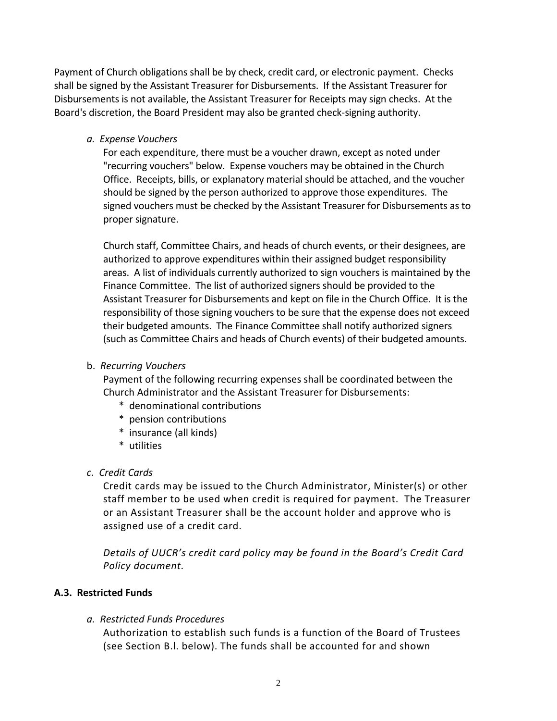Payment of Church obligations shall be by check, credit card, or electronic payment. Checks shall be signed by the Assistant Treasurer for Disbursements. If the Assistant Treasurer for Disbursements is not available, the Assistant Treasurer for Receipts may sign checks. At the Board's discretion, the Board President may also be granted check-signing authority.

*a. Expense Vouchers*

For each expenditure, there must be a voucher drawn, except as noted under "recurring vouchers" below. Expense vouchers may be obtained in the Church Office. Receipts, bills, or explanatory material should be attached, and the voucher should be signed by the person authorized to approve those expenditures. The signed vouchers must be checked by the Assistant Treasurer for Disbursements as to proper signature.

Church staff, Committee Chairs, and heads of church events, or their designees, are authorized to approve expenditures within their assigned budget responsibility areas. A list of individuals currently authorized to sign vouchers is maintained by the Finance Committee. The list of authorized signers should be provided to the Assistant Treasurer for Disbursements and kept on file in the Church Office. It is the responsibility of those signing vouchers to be sure that the expense does not exceed their budgeted amounts. The Finance Committee shall notify authorized signers (such as Committee Chairs and heads of Church events) of their budgeted amounts.

b. *Recurring Vouchers*

Payment of the following recurring expenses shall be coordinated between the Church Administrator and the Assistant Treasurer for Disbursements:

- \* denominational contributions
- \* pension contributions
- \* insurance (all kinds)
- \* utilities
- *c. Credit Cards*

Credit cards may be issued to the Church Administrator, Minister(s) or other staff member to be used when credit is required for payment. The Treasurer or an Assistant Treasurer shall be the account holder and approve who is assigned use of a credit card.

*Details of UUCR's credit card policy may be found in the Board's Credit Card Policy document.*

### **A.3. Restricted Funds**

#### *a. Restricted Funds Procedures*

Authorization to establish such funds is a function of the Board of Trustees (see Section B.l. below). The funds shall be accounted for and shown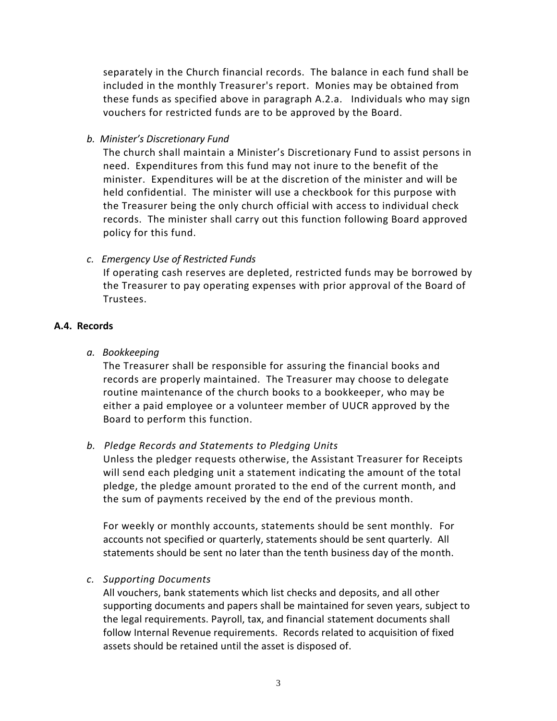separately in the Church financial records. The balance in each fund shall be included in the monthly Treasurer's report. Monies may be obtained from these funds as specified above in paragraph A.2.a. Individuals who may sign vouchers for restricted funds are to be approved by the Board.

*b. Minister's Discretionary Fund*

The church shall maintain a Minister's Discretionary Fund to assist persons in need. Expenditures from this fund may not inure to the benefit of the minister. Expenditures will be at the discretion of the minister and will be held confidential. The minister will use a checkbook for this purpose with the Treasurer being the only church official with access to individual check records. The minister shall carry out this function following Board approved policy for this fund.

*c. Emergency Use of Restricted Funds*

If operating cash reserves are depleted, restricted funds may be borrowed by the Treasurer to pay operating expenses with prior approval of the Board of Trustees.

### **A.4. Records**

*a. Bookkeeping*

The Treasurer shall be responsible for assuring the financial books and records are properly maintained. The Treasurer may choose to delegate routine maintenance of the church books to a bookkeeper, who may be either a paid employee or a volunteer member of UUCR approved by the Board to perform this function.

### *b. Pledge Records and Statements to Pledging Units*

Unless the pledger requests otherwise, the Assistant Treasurer for Receipts will send each pledging unit a statement indicating the amount of the total pledge, the pledge amount prorated to the end of the current month, and the sum of payments received by the end of the previous month.

For weekly or monthly accounts, statements should be sent monthly. For accounts not specified or quarterly, statements should be sent quarterly. All statements should be sent no later than the tenth business day of the month.

*c. Supporting Documents*

All vouchers, bank statements which list checks and deposits, and all other supporting documents and papers shall be maintained for seven years, subject to the legal requirements. Payroll, tax, and financial statement documents shall follow Internal Revenue requirements. Records related to acquisition of fixed assets should be retained until the asset is disposed of.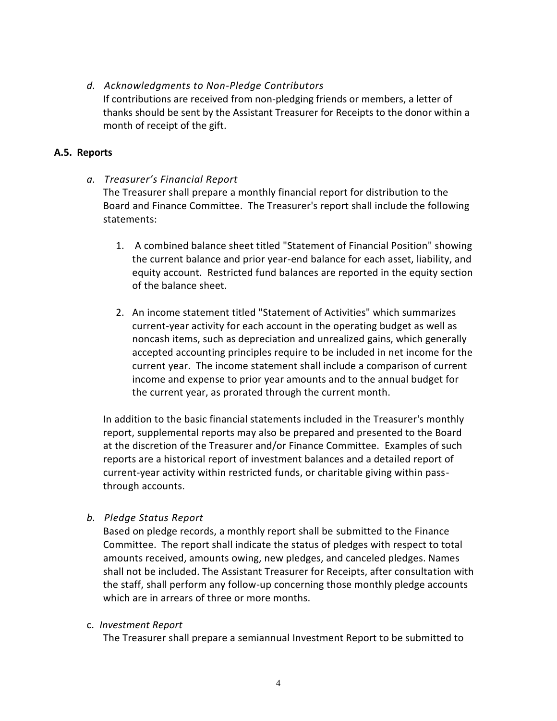### *d. Acknowledgments to Non-Pledge Contributors*

If contributions are received from non-pledging friends or members, a letter of thanks should be sent by the Assistant Treasurer for Receipts to the donor within a month of receipt of the gift.

### **A.5. Reports**

*a. Treasurer's Financial Report*

The Treasurer shall prepare a monthly financial report for distribution to the Board and Finance Committee. The Treasurer's report shall include the following statements:

- 1. A combined balance sheet titled "Statement of Financial Position" showing the current balance and prior year-end balance for each asset, liability, and equity account. Restricted fund balances are reported in the equity section of the balance sheet.
- 2. An income statement titled "Statement of Activities" which summarizes current-year activity for each account in the operating budget as well as noncash items, such as depreciation and unrealized gains, which generally accepted accounting principles require to be included in net income for the current year. The income statement shall include a comparison of current income and expense to prior year amounts and to the annual budget for the current year, as prorated through the current month.

In addition to the basic financial statements included in the Treasurer's monthly report, supplemental reports may also be prepared and presented to the Board at the discretion of the Treasurer and/or Finance Committee. Examples of such reports are a historical report of investment balances and a detailed report of current-year activity within restricted funds, or charitable giving within passthrough accounts.

*b. Pledge Status Report*

Based on pledge records, a monthly report shall be submitted to the Finance Committee. The report shall indicate the status of pledges with respect to total amounts received, amounts owing, new pledges, and canceled pledges. Names shall not be included. The Assistant Treasurer for Receipts, after consultation with the staff, shall perform any follow-up concerning those monthly pledge accounts which are in arrears of three or more months.

#### c. *Investment Report*

The Treasurer shall prepare a semiannual Investment Report to be submitted to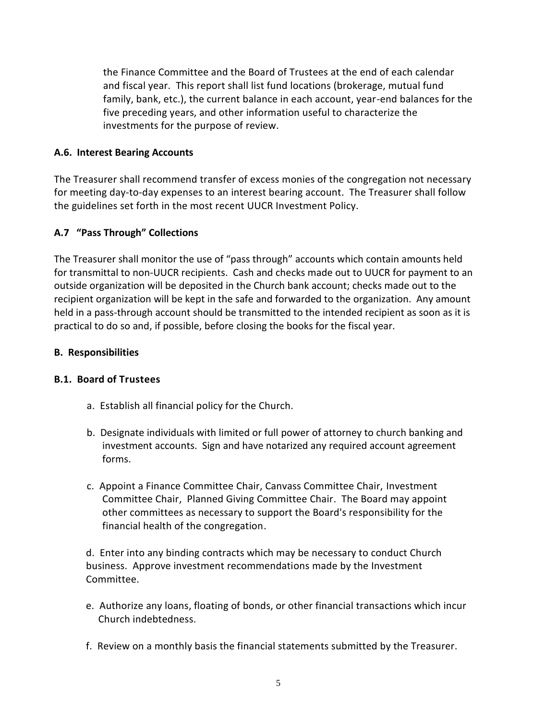the Finance Committee and the Board of Trustees at the end of each calendar and fiscal year. This report shall list fund locations (brokerage, mutual fund family, bank, etc.), the current balance in each account, year-end balances for the five preceding years, and other information useful to characterize the investments for the purpose of review.

### **A.6. Interest Bearing Accounts**

The Treasurer shall recommend transfer of excess monies of the congregation not necessary for meeting day-to-day expenses to an interest bearing account. The Treasurer shall follow the guidelines set forth in the most recent UUCR Investment Policy.

### **A.7 "Pass Through" Collections**

The Treasurer shall monitor the use of "pass through" accounts which contain amounts held for transmittal to non-UUCR recipients. Cash and checks made out to UUCR for payment to an outside organization will be deposited in the Church bank account; checks made out to the recipient organization will be kept in the safe and forwarded to the organization. Any amount held in a pass-through account should be transmitted to the intended recipient as soon as it is practical to do so and, if possible, before closing the books for the fiscal year.

#### **B. Responsibilities**

#### **B.1. Board of Trustees**

- a. Establish all financial policy for the Church.
- b. Designate individuals with limited or full power of attorney to church banking and investment accounts. Sign and have notarized any required account agreement forms.
- c. Appoint a Finance Committee Chair, Canvass Committee Chair, Investment Committee Chair, Planned Giving Committee Chair. The Board may appoint other committees as necessary to support the Board's responsibility for the financial health of the congregation.

d. Enter into any binding contracts which may be necessary to conduct Church business. Approve investment recommendations made by the Investment Committee.

- e. Authorize any loans, floating of bonds, or other financial transactions which incur Church indebtedness.
- f. Review on a monthly basis the financial statements submitted by the Treasurer.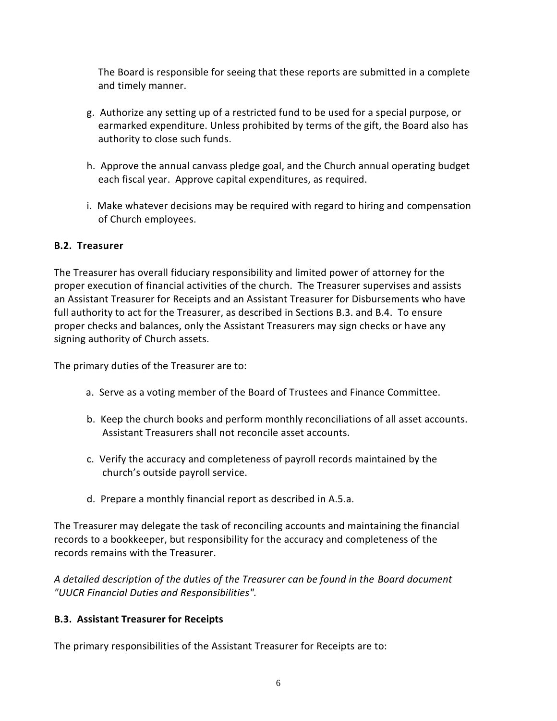The Board is responsible for seeing that these reports are submitted in a complete and timely manner.

- g. Authorize any setting up of a restricted fund to be used for a special purpose, or earmarked expenditure. Unless prohibited by terms of the gift, the Board also has authority to close such funds.
- h. Approve the annual canvass pledge goal, and the Church annual operating budget each fiscal year. Approve capital expenditures, as required.
- i. Make whatever decisions may be required with regard to hiring and compensation of Church employees.

# **B.2. Treasurer**

The Treasurer has overall fiduciary responsibility and limited power of attorney for the proper execution of financial activities of the church. The Treasurer supervises and assists an Assistant Treasurer for Receipts and an Assistant Treasurer for Disbursements who have full authority to act for the Treasurer, as described in Sections B.3. and B.4. To ensure proper checks and balances, only the Assistant Treasurers may sign checks or have any signing authority of Church assets.

The primary duties of the Treasurer are to:

- a. Serve as a voting member of the Board of Trustees and Finance Committee.
- b. Keep the church books and perform monthly reconciliations of all asset accounts. Assistant Treasurers shall not reconcile asset accounts.
- c. Verify the accuracy and completeness of payroll records maintained by the church's outside payroll service.
- d. Prepare a monthly financial report as described in A.5.a.

The Treasurer may delegate the task of reconciling accounts and maintaining the financial records to a bookkeeper, but responsibility for the accuracy and completeness of the records remains with the Treasurer.

*A detailed description of the duties of the Treasurer can be found in the Board document "UUCR Financial Duties and Responsibilities".*

# **B.3. Assistant Treasurer for Receipts**

The primary responsibilities of the Assistant Treasurer for Receipts are to: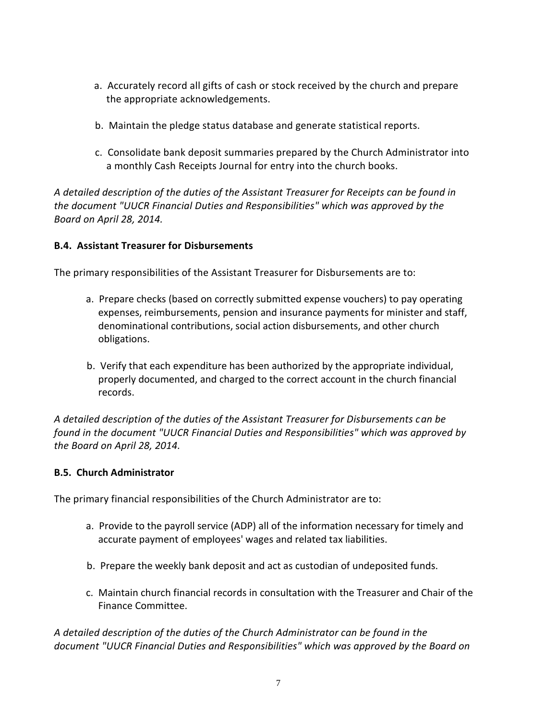- a. Accurately record all gifts of cash or stock received by the church and prepare the appropriate acknowledgements.
- b. Maintain the pledge status database and generate statistical reports.
- c. Consolidate bank deposit summaries prepared by the Church Administrator into a monthly Cash Receipts Journal for entry into the church books.

*A detailed description of the duties of the Assistant Treasurer for Receipts can be found in the document "UUCR Financial Duties and Responsibilities" which was approved by the Board on April 28, 2014.*

### **B.4. Assistant Treasurer for Disbursements**

The primary responsibilities of the Assistant Treasurer for Disbursements are to:

- a. Prepare checks (based on correctly submitted expense vouchers) to pay operating expenses, reimbursements, pension and insurance payments for minister and staff, denominational contributions, social action disbursements, and other church obligations.
- b. Verify that each expenditure has been authorized by the appropriate individual, properly documented, and charged to the correct account in the church financial records.

*A detailed description of the duties of the Assistant Treasurer for Disbursements can be found in the document "UUCR Financial Duties and Responsibilities" which was approved by the Board on April 28, 2014.*

#### **B.5. Church Administrator**

The primary financial responsibilities of the Church Administrator are to:

- a. Provide to the payroll service (ADP) all of the information necessary for timely and accurate payment of employees' wages and related tax liabilities.
- b. Prepare the weekly bank deposit and act as custodian of undeposited funds.
- c. Maintain church financial records in consultation with the Treasurer and Chair of the Finance Committee.

*A detailed description of the duties of the Church Administrator can be found in the document "UUCR Financial Duties and Responsibilities" which was approved by the Board on*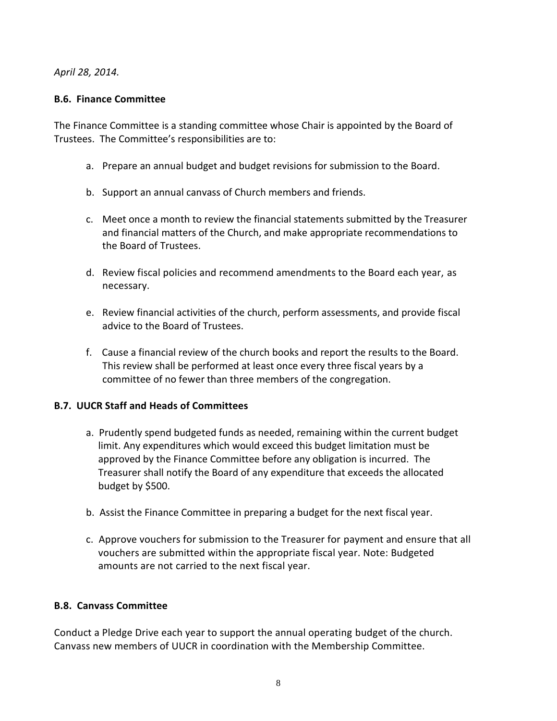*April 28, 2014.*

### **B.6. Finance Committee**

The Finance Committee is a standing committee whose Chair is appointed by the Board of Trustees. The Committee's responsibilities are to:

- a. Prepare an annual budget and budget revisions for submission to the Board.
- b. Support an annual canvass of Church members and friends.
- c. Meet once a month to review the financial statements submitted by the Treasurer and financial matters of the Church, and make appropriate recommendations to the Board of Trustees.
- d. Review fiscal policies and recommend amendments to the Board each year, as necessary.
- e. Review financial activities of the church, perform assessments, and provide fiscal advice to the Board of Trustees.
- f. Cause a financial review of the church books and report the results to the Board. This review shall be performed at least once every three fiscal years by a committee of no fewer than three members of the congregation.

### **B.7. UUCR Staff and Heads of Committees**

- a. Prudently spend budgeted funds as needed, remaining within the current budget limit. Any expenditures which would exceed this budget limitation must be approved by the Finance Committee before any obligation is incurred. The Treasurer shall notify the Board of any expenditure that exceeds the allocated budget by \$500.
- b. Assist the Finance Committee in preparing a budget for the next fiscal year.
- c. Approve vouchers for submission to the Treasurer for payment and ensure that all vouchers are submitted within the appropriate fiscal year. Note: Budgeted amounts are not carried to the next fiscal year.

#### **B.8. Canvass Committee**

Conduct a Pledge Drive each year to support the annual operating budget of the church. Canvass new members of UUCR in coordination with the Membership Committee.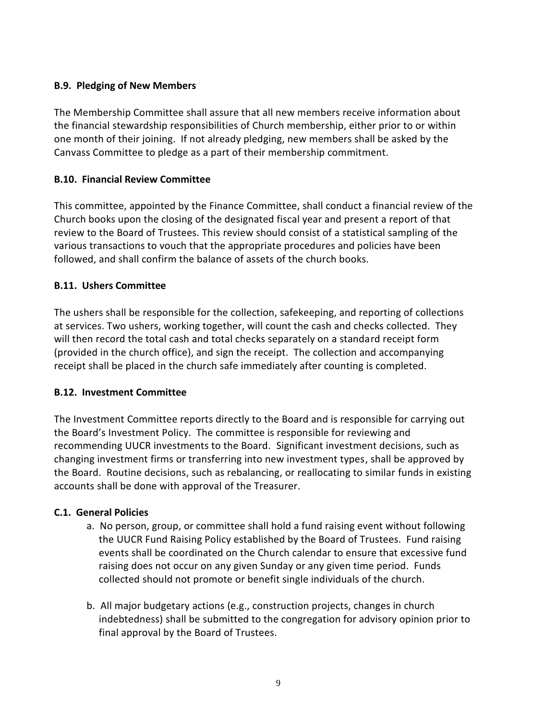### **B.9. Pledging of New Members**

The Membership Committee shall assure that all new members receive information about the financial stewardship responsibilities of Church membership, either prior to or within one month of their joining. If not already pledging, new members shall be asked by the Canvass Committee to pledge as a part of their membership commitment.

# **B.10. Financial Review Committee**

This committee, appointed by the Finance Committee, shall conduct a financial review of the Church books upon the closing of the designated fiscal year and present a report of that review to the Board of Trustees. This review should consist of a statistical sampling of the various transactions to vouch that the appropriate procedures and policies have been followed, and shall confirm the balance of assets of the church books.

# **B.11. Ushers Committee**

The ushers shall be responsible for the collection, safekeeping, and reporting of collections at services. Two ushers, working together, will count the cash and checks collected. They will then record the total cash and total checks separately on a standard receipt form (provided in the church office), and sign the receipt. The collection and accompanying receipt shall be placed in the church safe immediately after counting is completed.

### **B.12. Investment Committee**

The Investment Committee reports directly to the Board and is responsible for carrying out the Board's Investment Policy. The committee is responsible for reviewing and recommending UUCR investments to the Board. Significant investment decisions, such as changing investment firms or transferring into new investment types, shall be approved by the Board. Routine decisions, such as rebalancing, or reallocating to similar funds in existing accounts shall be done with approval of the Treasurer.

### **C.1. General Policies**

- a. No person, group, or committee shall hold a fund raising event without following the UUCR Fund Raising Policy established by the Board of Trustees. Fund raising events shall be coordinated on the Church calendar to ensure that excessive fund raising does not occur on any given Sunday or any given time period. Funds collected should not promote or benefit single individuals of the church.
- b. All major budgetary actions (e.g., construction projects, changes in church indebtedness) shall be submitted to the congregation for advisory opinion prior to final approval by the Board of Trustees.